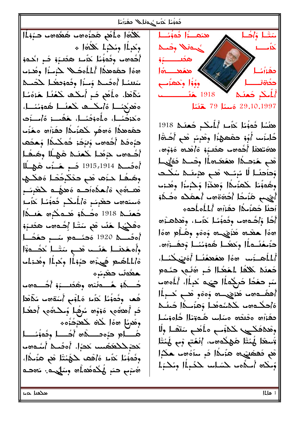فُوزُمًا عَلَى اللَّهِ مِنْهَ مَنْ النَّهَ لَكْتُهَا مِلَّصُ هَٰحَنُّوهِ هُغُّوهِ حَزْفِلًا يتشا وُاُڪل هنعـــرُا ثَوزُــٰـا ےُ<br>حوالے وكراًا ومُحْرَا لَحْلُثُهُا \* يحاشى وتسلط أُحُوهب وثَووُمُا خَلَيبا هِجَبَرَةٍ جَبِ الْحَوَ همُلــــــــزُوْ  $\frac{1}{2}$   $\frac{1}{2}$ حفَزْرُسُا هوَا حجَّمَعِيدًا ٱلْمُدَّكَّلَا حَبَـٰۃًا وِعُـٰٓءَـٰ حدُق تــــا مُسْمًا أَوضُـــمْ وَسَٰوَّا وِثَووَفِعُــا لِكَصَـــمْ وؤؤا وتحفؤهم أأحْر حُمنَم لل مَكْاهَا. مأهُم ضَرِ أُمكْك لْحُمُنُا هَوْمُنَا لا عام المسمود والتي التي تعليق التي تعليق التي تعليق التي تعليق التي تعليق التي تعليق التي تعليق ا<br>توسيق التي تعليق التي تعليق التي تعليق التي تعليق التي تعليق التي تعليق التي تعليق التي تعليق التي تعليق التي <br>تعليق التي ەقدىكى ئەنى ئىسلى ھەزىئىل 29.10.1997 هُسْلُ 79 هُنْدُلُ ەكزخىلا، ەلمەزخىلىل ھَقىلىز ەُ سىزَد هسُمَا شَمزُمًا حَسَّد أَلمُحَدِ ضَعتَكَ 1918 حفَمعدًا هَمفَہِ لَحْمَنُكُمْ حَفَنَهُ مَعَنُّ حَاءَ مَا أُوُو حقَعِهَا وَقَدِمَ هُم أَحُدَّا حَوْمَكُمْ أَحُوهِمْ وَبَرْحَةٍ خُوجُنَاهُ | وَحَجَف هەَتعلاً أُحُەەب ھكَبَرْ: ﴿ أَهُدَهِ مَوْوِهِ، أَصْـــەما لاِهُــا لَكَـعنَــدْ هُـهِـلُا وهَـنفُـا هُم هُ;حَـدًا همُعَـده]ا وِصْــدْ فَهُلَــا وَحِرَحتُـا لَا مُرِمَــد هَــم مَرْمنَــد مُكْــت وهُبِعُـا جِـزُم هُـم حِنْتُرِجُجْـا هُعَكَــهِـ وِهُوزٌمًا لَكُمْنَـٰدًا وَهٰذَا وَكَبَـٰزًا وِهَٰـٰٓنَـٰ وَهُـٰٓنَـٰ هلستُهم وْالْعَذَاهَ الْصَدْمَ مَحْمَدٍ مِنْ الْمُحْرِسَةِ أَيْبِ هَنَّىحُا أَحُمَّةَهَ أَحْقَدُ مَرْوَأَ ەُمىئەھە كېرىئى ۋالمُكى ئەۋبا كەما آحلًا حُمَّنَــدًا حَفَّزَاه ٱلْمَادَلَّــــــهِ \* كَمِنْــــا 1918 هَــَــــاَوْ هَـــمَــاْمِ هَــــدًا أُحُلُ وَٱكْتَوَى وَثَوْمُهُمْ كَلَاسًا، وقَطَعَتْوَى ەقىڭل ھَنَى ھَي سَتْل إِشَاھا ھَدَيَوْ هوَا هَقَدَهُ هَٰذُهَبِ وَوَوْمٍ وِهَٰلُو هُوَا دَّمِعُشَــه اُل وِحَمُّــا هُــوَمُـُــا وَحفَـــزَآه. وأُمكنتُ لَمَتَـب ثَنب مَثْتُـل خُدُّـوَوْا أَمْلَحْسَنَ مِنْ الْمُعْصَمُلْ أَوْنِ كُنُا، ة/المصَّمِ فَي أُوءُ أَا وِكْبِـاًا وِهُــٰهِـا كَمِنَا لَمْكُمَا لَمَعُدَاا ضَرِ شَاهَ حَسَّومِ لمعثَّدتُ حعْرِبَ \* مَٰہِ حَمَّحًا حَرِيُّدَاًا حَيْثَ مُّدِاًا، ٱلْمَاهَ ب أُهفُــهaـَ هُـُرْيُــِـه وَهوْهِ هُـــعِ نُـــزِلُمْ ا فُعَدَ وِثُدَوُمُا كَلَامًا هَاؤُنِي أَمَنْةِهَا مُكَلَّفُوا ة/حكّـــــوما للكلمُـــمُعالَم وَهنّـــــــــمًا حَــلـــكــــــم ضَ أَهْدَهُ ﴾ هُوَوْه مُرِضًا وُمِكْدَهُ ﴾ أَصَعُـا حَفَزْرُه وصْنَصْه وسُلَّب هُدَوْتَالْ خُلُوفِسُلْ وهُرمُل 1هُ) كُنْ كَعْبُحُزُهِ \* وفكفكيها ككأوب مأهم منقا ولا هُـــــام حزّەدــــــدْه أُحُـــــا وثَـەؤُــُــــا وَّسِعْا يُمُتْا هَٰهِكُوهِ، إِنْمُتٖ وَبِ يُمُتْأَ كحرْكَكْتُمُسَتْ كَحَرَا. أَوصُبْ أَسْتَوْوَت هُمْ دُهِهَيْهِ هُنُمُّا دُمْ سَأَهُ مَنْهُمْ عَلَيْهِ ا وِثُدَوُمًا كَلَاء هَ/قَعَد كَهُنْتًا هُمْ هِنُدَاًا، وَمِنْلَاهِ أَسِلْأُهِ، لِمُسْلِسَا لِكَتَّبِٱ! وِمُكْبَرَا هُمْ مِنْ لَمَحْدَثُمْ مَالَهِ مِمَالِكَ مِنْهُمْ مِنْهُمْ مِنْهُمْ مِنْهُمْ مِنْهُمْ مِنْهُمْ مِنْه

محجما حربر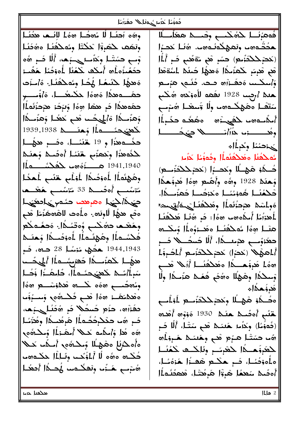| ضُوَٰنًا غَالَمِنَ مِنْ النَّهِ مِنْ النَّهَ              |                                                                   |  |
|-----------------------------------------------------------|-------------------------------------------------------------------|--|
| وهَه أحبُــا لَا مُعجَّــا ههُـا لِإِنْــم هجُنُــا       | فُومِرُنَــا لِمَوْكَنـــو وِصْـــط هِعَالَـــلَّا                |  |
| وتعُعب لحقَرَوْا كَكْتْا وِنُمْلِكُفُلْ مَعْضُلًا         | لْمَحْشُدْهَا وِلْعَجْلُدْلُدْهَا. هُلْلْ كَحَبُرْا               |  |
| وْبِ حِمَٰتْنَا وِكَأَسَانِ جَمْهِ، ٱلْمَا كَثِرِ ۞هِ     | (كَحْرُحْكَخُرُمو) حَسْرٍ هُمْ يَّةَهُدْمِ ضَرِ ٱلْمَا            |  |
| حَكَمْنُوءاْ۞ أَمكُ كَحُمُلًا لِمَوْدُمًا حَكَمَـٰ;       | هُم هُدِمٌ كَلْمُ مَلَا هُ هِيَا حُسُلًا لَمُتَوَهَلَ             |  |
| هَهْلُمْ الْمُسْلَمْ لِمُصْلِحِمْلِ. وَٱسْتَوَاءِ         | وَأَسْكَسَتْ وَمَقَـٰٓءَآهَ صَدَّ. فُلُّـمَةٍ هَزَّسُـمْ          |  |
|                                                           | لعلط أرضنا 1928 لعُقم الأُوزْنَدُه (مُكْلَم                       |  |
| حَمَّدَهُمْ أَمْ هِمَا وَهُ أَوْلَاحُ هَوْجَنَّهُمْ ا     | مَتْقَـا ەھَھْـُـەەب وِلَا وَجْمَـا ھُـرْب                        |  |
| وَهِنَسِـدًا وَالْمَيْحَسِ هُبِ كَعَمَـا وَهِنَسِـدًا     |                                                                   |  |
| كَعِيْجِدُـــواْلِ وَهنَـــــــــــمْ 1939.1938           |                                                                   |  |
| حنْــوهزُا وِ 19 مقتُــا، وضَــوٍ هؤَــا                  | كخاصته وكباله                                                     |  |
| لحنْوهزُا وِتَحِمَنُها مَتَسًا أُوصَّلِهَا وَحَسَّلَا     | مُعطَعُلًا ءهَٰحَكَفُهَاْلِ وِثَءنُنَا خَلَامًا                   |  |
| 1941.1940 هسستۇۋەم لەككىئىسىما                            | صُـٰمُوۡ هُهَــُلا ومُحصَرُا (مُحرَّحُحُدُوۡ؎ِ )                  |  |
| وهُجْنُه)َا أَهْوَضُمُا أَوْلَى هَنَّى أَهْدُا            | وَهلَمْ 1928 وِرَهُ وأُصَّصْ رَوْهُ الْجَوْهَمُ                   |  |
| مّتِسّم (ەئىسىدا 33 مّتِسْمَع حَقْسَمَه                   | كَحْمُنُــا هُـُومُنُــا مَحْرَجُـــا جَعزُــــدًا.               |  |
| لمرضعاض بمشه بمعهمه لرضائفرته                             | مصرةٍأصْرَبُلْنَفْكُمْ وَالْمَانْجَةِ 12هَامِهِ                   |  |
| هِ هِيُمَا لَلوِنَهِ. مِلْوَتِ لِلصَّوضَنَّطُ هُم         | لَمَعْزَامُا أَمِكُوهِم هَا: ضَ هُلُم هَٰذَكَفُلُمْ الْمَحْفُلُمُ |  |
| وهُعْــما حَـهُكْـــمِ وُهِتّــٰهُا. هُحَمَّــٰهكُمْ      | هلَّــا هِهُ  مُعَـحْفُـُـا هفَــزوُهاْ  وُمِحْــه                |  |
| كُحْشُــه/ا وِهُـهْشُـه/ا أَهوْضُــهُا وَحِسَـهُ          | حعَدَوۡ؎ ٖ مـُرۡىـــدَٰا، ٱللهَ صَــدُــــدَ صَـــر               |  |
| 1944.1943 ـ هجُمْ مُهْمَا 28 د. مُ                        | آ،اههْلا (كَحَرُا) كَحَرْكَكْتُرُحَمْ ٱ،احُـرِوَٰ،ا               |  |
| هجُما لَمَعْنُوبُهُمْ الْمَسْمَلَا أَلَى حُسَنَ           | ههُا هُبزُهــدًا معَكفُــا ٱلَـلا قَـــمِ                         |  |
| مَّبِلَّائِــدْ كَعيْحِنَــداًا، حَامِحُــٰٓا وَحُــا     | وْسِلْكَاا وِهْمُلَا هَوْضٌ فُعُلَّمْ هِنَّــدًا وِلَّا           |  |
|                                                           | <b>حَدِوَ هَذَا *</b>                                             |  |
| ەھْكْتَكَ ; 160 ھَــ مُكْتَوْبٍ وَسَــرُوَّت              | ەكــكَاوْ هْـهَــلَا وِكَحْرْحَـكَخُرَّـــع لْمُوْلَمــع          |  |
| حَفَرْآه، حَزَمِ حَسَحُلاً مَ هُمَنَا حِبَرَهُ،           | لقلُّم أُوصُّـط لِعلَـٰط 1930 وَوْوِي أَهْدِي                     |  |
| ضَرِ هُــٰ حَكَـٰدِحُحُــٰهِ]ا هُرِهُنــٰهُا وِهُتَۥُـُـا | (فُدَوْمُا) وِكَلَّا هَلْنَـٰهَ قُلْ مَتْتَا، ٱللَّا ضَرِ         |  |
| هُهِ هُا وَٱمِلَّاتِ نَحْلاً ٱمِصَٰٓءَاٗا وَمِحْدَةٌ وَ   | هُ حمَتْلِ هَزُمْ هُمْ وِهَنتُكُمْ هُوَرَاهَ                      |  |
| ەأەخۇل ەھھىلا ۋىخىۋە كىلىك كىلا                           | لحعَرِفَهـــدًا لحقرئـــر وتَلكـــف كَمُنُــا                     |  |
| كُكْتُ دَهُمَ لَا ٱلْمُخْسَدِ وِيُبَالَأَ حَكْتُوهُمْ     | ەلمەۋئىل، ئېر ھڭىم ھھاۋا ھَوَمُلل،                                |  |
| هُنْزِمِ هُـزًى وِتَعَنَّــٰهِما لِمُحــٰهَا أَحَمَّــا   | أُهضَه سُعمًا هَرِوْا هَرِهُتَا، هَعمَنَـْمَاًا                   |  |
|                                                           |                                                                   |  |

محدا حر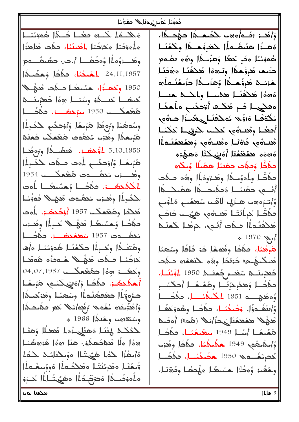| $\frac{1}{2}$                                                                                        |                                                                                                         |
|------------------------------------------------------------------------------------------------------|---------------------------------------------------------------------------------------------------------|
| هَ اللَّهُ عَلَيْهِ مَعْدَلٍ صَنَّهُمْ تَقْوَيْتِ الْمَسْتَقَادِ وَسَلَّمَ الْمَسْتَقَاد             | وْٱهْدَ اصَّـٰهُ١٥٥مَـٰ لِكَـُـمــٰهُۗا حَـهُـْــٰهُۗا،                                                 |
| ولمُوَوَّطْ وَحَدَّكْمَا <b>لِمُعْيُنَا،</b> فَكَافَ هُلُودُ ا                                       | ةهـزًا هنَبْهُــه]] لِكَعْرِزُهــدًا وِكْمُنُــأ                                                        |
| وِهَـــزَوْهِ] وُهِجُعُـــا /.ت. حَقَيقُـــهِمْ                                                      | هُدوْمُمُّا دَضَ كَعُمَّا وَهِۥَمِــٰهَا وِرَّدُه نَصُّدَم                                              |
| 24.11.1957 لمُعَدُّل مَاْدًا وَحَصَــدًا                                                             | دَّىمَا هُدِفُهِمَا وِلْـ30\$ هَكَفُتًا 5%مُثُلًا                                                       |
| 1950 وتحصـُرُا، حسَّىعُــا صــكُات تَعنُّـــلا                                                       | هُءَسُــدُ هُدِفُــمـدُا وَهُءُـــدُا حَنُــمُلُــدَاه                                                  |
| كمفا كسلف ومئتا وهوا كعؤمنا                                                                          | ةھةا هَكْفُسًا هكسلا ولمكنك هستا                                                                        |
|                                                                                                      | ەقتىما ئىر ئەتكىف أۆتىئىم ەللىمئىل                                                                      |
| وسُوهُمُا وِرَوِهُمَا هَبَسُمَا وَأَوْحَكَمِ كَخَبِلَهَا                                             | مُكْتَفَا هَاؤُلا شَمْلِكُمُنَا هَاوَهُ مِنْهُمْ أَمْرَ مِنْهُمْ مِنْهُمْ مِنْهُمْ                      |
| هَبْعِدًا وِهُذِبَ مُحَقَّوْتِ هَعْعَكَبِ جُعِنَدًا                                                  | أحعُما وهسعُه مَحْمَد حَفِيْهَا تَحْكُمُا                                                               |
| 5.10.1953 <b>/وْحصَـٰ: فَتمَــدُا وِرَو</b> هُــا                                                    | هْلِيهُمْ وُتَوَيْبُ أَوْسَيْتُمْ وَهُمُعَمُنُوا أَلْمَ                                                 |
| هُبُسُل وُٱوْحِنَبِ لِمَاتِ صَـٰكُاتِ لِكَـٰبِلَٰا                                                   | مْ مَهْجَمَعْ الْمُكْرِيَّةُ أَوْسَى مَاهَمْ مَعْهَمْ                                                   |
| وهُــــــز، مَحْقُـــــــوت هُعْتَمَكْـــــب 1954                                                    | ددَقا وَددَت حمَننا همَىلَا وَعْدَه                                                                     |
| لمُحْكَمَـــة. حَكْسًا وَحَسَّمَتُــا لِمَاهَ                                                        | دكْتْلُ وِلْمَوْسَكَا وِهْتُوَوْمَاْ وِرَةُهِ صَـٰكَات                                                  |
| لحَفَـٰہِٱ ا وِهُـٰہَـٰ مَحَصُّـٰہٖ تَعهَـٰلا فَہَوَٰنُـٰا ٖ                                         | أئــــم، حمّنــــا ةحمّنـــــمّا همّنـــــمّا<br>وُٱتبَوْهِما هَـزَٰلَىٰ لَلصَّا مَعْمَـٰمِ وَالْوَّىـِ |
| هَٰلاَمَا وهَٰهُممُـُـب 1957 أُوْحُلِّصُـز. لِمُوص                                                   | مكْتُـا مُرِـأَنْتْـا هْنْـرْهُ مِنْ مَنْ ـَـرَضَــرِ                                                   |
| حكْضًا وَحَسَّىعًا قَدْئُ لَا تَحْرَأَا وَقُدْتَ                                                     | هَكَفُدَا دَخَاتَ أَنْتَجٍ، جَزِهُمَا خَمْنَكَ                                                          |
| $\parallel$ مَحمَّـــوت 1957 مَحمَّحصَـــز. فَجَمَـــل                                               | $\leftrightarrow$ 1970 $\leftrightarrow$                                                                |
| وهَتنُــٰهَا وِحْــرِـاَا حكْـهُنُــا هُـوْنُـُـا هُاْف                                              | هُ ۖهُمْا، حَذُهُا وِهُدهَا حَـٰٓ دَاهَا وِسَٰعِمُا                                                     |
| كَتَحُسًا صَـكُت مَعَهُــلاً هُــودَةٌه هَومَدا∥                                                     | هُنْكُنَّهُنَّهُ ۖ دُرْنُدًا ۚ وَرَهُ ۚ كَنُفَهُّوهِ ۖ دَلَمُ تَ                                        |
|                                                                                                      | كَعْبُرِيْنَا مِّيْقَامِ كَمْتَابَا 1950 لِلْوُمْتُالِ،                                                 |
| أَهْلَاهُمْ: حَذَكْرُوْهُ يَكْسُبُ هَزَمْهَا أَ                                                      | فكأصل ومحكركراسا ومقتفيا أفكني                                                                          |
| حَرَّهَ أَا حَمَّعَمُدُهُ أَا وَسُعِسًا وِهَٰٓ كَسَمَّا ا                                            | ۇەككى ـــە 1951 ــلىكىگىــــــل، ھكْكــــــل                                                            |
| وَٱهْذَمَهُ مُعۡمَد رَهۡدَامَد ۚ كَمَ حَذَمَحَا ا                                                    | وُٱللَّفُءوَّا. وَصَحُبُـاً، حَكَاصًـا وِهُءوَبُحَفَـا                                                  |
| وسُنّةها 1966 \$ 196                                                                                 | هْدُوْلًا هِمُعِنْمُلَلْيَحِزّْابْنَا (هَيْهِ) أُوصُدًا                                                 |
| لحْكَكُمْ لِمُثْلُ هَعْتَلِيٌّ وَالْمُعْطَلَا وَهِنْدَا ۖ                                            | هَمَسْمَــا أَسْــا 1949 سعَّــمُنْــا، حَدُّكَــا                                                      |
| ههُمْ وَلَا هُدْهُهُوْ. هِنَا هِهُمْ فَرْهِهُمْ ا                                                    | وَٱسكَنفَعِي 1949 حَكْمَتُكُمْ، فَجُوَّا وَهُذِب                                                        |
| هُ/حفُوْا حِدُمُ مَيْتِ السَّرِيْةِ الْمَحْدُمُ الْمُحَامُ الْمَحْدَمُ الْمَحْدَمُ                   | كحرتمْــــە۞ 1950 ــمحَــحُـُــــل، حكُحُــــل                                                          |
| أَوْحَمْلَنَا وَهُوَيُنُتُنَا وَهُكَنَّدَهَا وَوَوْحَكُمْ وَالْمُسَلَمَا وَالْمُسَلَمَا وَالْمُسْتَد | وهَفَىٰ; وُدَتْزَا هِنُىعَكُمْ دَهْطَكْ وِضُوْلُ،                                                       |
| دَاءْوَكُـــدًا دَحَقَــدًا الْمَــهَيْشَـالَمَا كَـــزَوْ                                           |                                                                                                         |
|                                                                                                      |                                                                                                         |

 $\lim_{\epsilon \to 0} \delta_2 \leq \lim_{\epsilon \to 0} \epsilon_1 \leq \lim_{\epsilon \to 0} \epsilon_2$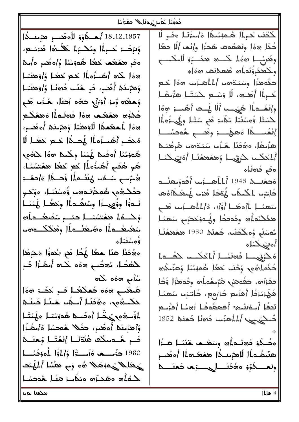| فُوزُمًا عَلَى الْمَرِينَ الْمَوْرَةَ الْمَوْرَةَ الْمَوْرَةَ مِنْ                                         |                                                                                     |
|------------------------------------------------------------------------------------------------------------|-------------------------------------------------------------------------------------|
| 18.12.1957 أُحْسَكُوَوْ لِلْأُوقْسِي مِتْرِمْسِكُمْ                                                        | ـْكَتَبَ كَـٰزِـدًا هُـٰدَوْسُكَا هَ/ْسَتُّلَّا دَضَرِ لَل                          |
| وَبَمَن حَـبِلَا وِنُكْبَا لَكُـ1ْهَ هَٰذَــْمِ،                                                           | حُدًا «ه) وِتَعَقَّمَه هَجُرًا وِإِنَّمَا ٱللَّا حَمَّا                             |
| ەكر ھۆھھە كھُل ھُەزىُىُل وُلەھُدر ەلَّىك                                                                   | وهُربُ المُهَالِّـــة هَنْـــزَةِ لَاسْتَـــعِ                                      |
| ههُ  لَاه أَهُمَّزُه}  كَـع كَعُما وَإِوْهِتُمَا                                                           | ولأعذرونهاو معمله وداء                                                              |
| وَهِبَعْدَهُ أُهُد، ثُمّ هُنَّت ثُمَّتُنَا وَٱوْهَدَنُنَا                                                  | حَدَّه هذا وِسُمَّة ها ٱلْمَلَّامَ مَنْ اللَّهُ مَنْ الْمَحْمَلِ                    |
| وَهِعْدَه وَمَ أَوْرَالٍ حَدَّه أَحَلًا، هَـنَّا هُم                                                       | حُـبِـاْا ٱهْـرِه، لَا وَسْـرِ حَمَسْا هِتَمِهْـا                                   |
| كَدْوْن هِمَعْـَـمَا مَاهَ   دُرْمَانُـدَا) هَ هَمَـْـُـم                                                  | وإِنْهُـــْ هَـٰهُــْ اللَّهُــــنُّ هَــَا أَهْـــــزَ هَــَا إِهْمَاءَ مِنْهَا إِ |
| ادَهُ   الْحَقْعَةُ   لَاوْتَتَنَارْ وُتَشِيبًا لَا أَدْشَبْ،                                              | لْكُمَتْلَا وُّەمُئْسًا مَكَّامَ هُمْ مَتْتَا وِلِّيْ وَالْمَالَ                    |
| هَحكَــمٍ أَهُــــزُّه أَمْـــدًا حَـــمِ حَمـُــا لَٰا                                                    | إلْمُنَـــٰذَا هَجَمُـــۃ وِتَحَـــہِ هُجْتَــَــل                                  |
|                                                                                                            | هِنُبِّعُلْ وَهُضُلُّ هُنَّبٍ شَيْتَةِ وَبِ هُرِهُنَّكُمْ                           |
| هُموْمُنَا أَهشَا لَمُنْا وِكْنا 1هُ أَكْثَارِ<br>صُرِ صُصَّمٍ أَصَّنُوهِ أَلَّا كَمِ كَعَدًا مِنْقَسَسًا، | ألمَكْبِ لِمَرْفِي لِمَعْمَمَتُ أَوْتِيَكُمْ لَكُمُلًا أَوْتَيَكُمْ لَمَاءَ         |
| هُمُوسى مَسْتُما الْمُسْتَمَالِ وَحَسَمًا وَاحِصَـٰٓءَ                                                     | ەقى ھُەئلە ئىستىسى ئەرگەن ئا                                                        |
| حثَكْتُوم هُمْحُرَّنُـوها وُّوسُنُنْـل وَوِّكْتِ                                                           |                                                                                     |
| لَـٰدَٰوَا وِوَْىٰٰٓٓٓاً وَمَنفُـٰہِۖاْ وَكَحُنَّـا لَهَـٰنُـٰا                                            | دَّاتَ عَلَيْكُمْ مُتَوَادِّ مُنْ مَكْتَمَادُهُ مِنْ عَلَيْكَ                       |
| وَحَـــهُـا هِمُتسُنْـــا حَــّــو مَحْبِهْـــولَاه                                                        | مَعْسًا لِمُأْمَضًا أَوَّانَ وَٱلْمُلَعَبِّبَ هُبِ                                  |
| مَعۡىعۡــــــــه مَا أَمۡ مَعۡنَـــــه مَا أَمۡ وَهَـتَــَــدَاهُ م                                        | هَكَكَتَمَاهُ وِحُمَدَهُ وِلْمَحَمَدِهِ مَتَحَدَّلِ مَتَحَمَّل                      |
| ۋەمگلىكلە                                                                                                  | تَّەمَىُلُ وُەڭگَرَس، كَمِلَّا 1950 مَمَّمَعُمُلُّا                                 |
| هِ وَقَالَ هَذَا الْمَجْمَعَ الْمَجْمَعَ وَاللَّهُ مِنْ مَجْهَدًا وَاللَّهَ مِنْ مَجْهَدًا وَاللَّه        | أأه بهائكريوه أ<br>ەَحْرَىْكَ الْمَسْلَمُ اْلْمَكْـــا مْكُـــوا                    |
| لْحُعُصًا، مُحصَّبٍ هوَهِ لَكْلَّهِ أَمْعُـٰٓءًا ضَـًٰٓٓ                                                   | كُنُّمَارُهُم ۚ وَقُلُبَ خَعْدًا هُمَوْنُنَا وَمَزَيْكُمْ ﴾                         |
| مُنْآمِ 300 كَلَاهِ                                                                                        | حَفَرْآه، حَقَّمَهُمْ هُرَّمْهَالُه وَقُوهَا وَخُلَّا وَخُلَّا                      |
| هُىعَىــم ھەَە كَــمَكْتُــا كَــمِ نُدَكَــز ھەُا                                                         | فَهْنِتُوا أَهْبُم خَبْرَهِن خَاتِبَ سَعِيْا                                        |
| ھكىـۋەب، ەۋكئىل أمـكْما ھَىئـل كَىئـك                                                                      | تَحَفُّلَ أَحدَبَتَنِيَّةَ أَقْتَصَفُوطُ أَرْمَطُ أَقْتُحِي                         |
| لْتَنْبُوه لْتَنْهَمْ هُــدُهُ لْـتّْرِرُ رُهِشْــزَاءِ                                                    | تَسْلِيُهِيْ ٱلْمُلَعَنِّسَ ثَمَّلًا تَعْلَيْهِ 1952                                |
| وَٱهْبَـنَـٰهَ ٱهمَّـٰبَ، حثَــه هُـُحسُلَ هَٱمضُـٰزَا                                                     |                                                                                     |
| صُـِ هُـــمسكُ همُتَننَــا إنُهُتْــا وَهسَــدَ                                                            | ەكــكَاۋ دُەئــەلَمى ومَىْھــما ھىقَدَّــا ھــدَّا                                  |
| 1960 حنَّىــــما هَأَىـــتْزَا وَٱلْمَوْا لِمُّودُهُــَـــا                                                | هِنَبْجُنَّ إِلَّا لَاهِ بِسَجًّا هِمَعَنَّ وَالْمَ أُوقَعَتِ                       |
| حَمْلِكَ أَسْنَمَهِ وَمِّهِ مَعْنَهُمْ مَعْ الْمَلْفَيْ                                                    |                                                                                     |
| لحَمْلُه معُحَزُه مَكَّبَ هنا هُمحسُنا                                                                     |                                                                                     |
| مححفا حرم ا                                                                                                | $ L $ ها $ I $                                                                      |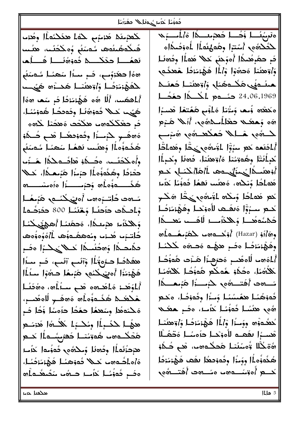| فُوزُمًا عَلَى اللَّهِ مِنْهَا مَعْزَامًا ﴾                                                |                                                                                                      |
|--------------------------------------------------------------------------------------------|------------------------------------------------------------------------------------------------------|
| لَحْمَبْنَهُ هَٰزَمَ مِهْدًا هَذَا وَهَٰذَا وَهُذَا                                        | ەترىئىلىل ؤكسل كھۇمىسىگا ۋالمأمسىزى                                                                  |
| قَىڭدەقىئەھە ئەمّنام ۋەڭگەئىلى ھلىت                                                        | لمَكْلَاثَهِ ٱمْتَبَرَا وِهُمْهُمَاْ الْمَوْضُمَاءُ»                                                 |
| ئعمُــــا حنْكَـــــــــا دُدوَهُئــــا فـــــألم                                          | ضَ حصَّرهُكُما أُدوِّهَمْ كَمَلًا هُدَاًا وِضُعَلَّا                                                 |
| ادەُ احكَنوَىب، كَمِ مَثَلاً مُتَعَمَّلاً شَامَعُهِ ۖ                                      | وَ}وَهنْدَا هَجَمُوْا وْ} أَا هُهْءَ دَوْمًا هَعَدُومِ                                               |
| َ كَفَهْ;َـٰزَدُــا وَ∕ْ;قَعْتُــا هَـدـٰ;ّه هَيُـــا∥                                     | هىئىمغا تۇنجان باشقا كىگى كەنگىلىك                                                                   |
| الْحَصَّىب، ٱلْلَّ ۞ه فَهَّنْهُمْ ثُمْ مَنْ أَلْفُرْ مِنْ يَعْدَلُوا الْمَجْمَعَةِ ﴾ [الله |                                                                                                      |
| ٰ هَيۡب ۡ كَـــلا ۖ فَـهَوۡوَهُ لَــا ۖ وِحَـهَـحَــا ۖ هُـهوۡ نُــُـا، إِ                 | ەكھە ۋىھا وَخُبْتا ەَلْمْهِ هَمُتمْا هْسْرَا                                                         |
| ضَ حَعْتَكُدُهما هَكُنْدَا هُحَدًا لَحْدَهُ ﴾                                              | هُه وَحصَد حصْلِلَــدْهُهِ، أَآتَدْ هَــْرَم                                                         |
| هُ∞هَـــر ــكْزَــــزُا وِحُـهوْدهُــا هَـــح كَــكُوْو                                    | كشفه بمقطع كملك موضك                                                                                 |
| هُخُدَوْه!! وَهلُـب نَعْمًا مُتَّعَبًا شَامَهُمْ الْمُعَامَلُهُمْ                          | أَعْلَمُه لَكُمْ سُرَّةً لِمَا تَعْلَمُ الْمَحْمَدِينَ الْمَسْتَمَاءَ                                |
| وأُهكْحُنَّـــه، هڪُــكُمو هُلاَشــعـكـكُـل هَـــزَّــه                                    | كْبِلْنُنَّا وِهُدَدْنَا هَ/وْهَنْدَا، دُدْنَا وِكْبِلَا                                             |
| حِدَدُا وِهُذُووْهِ ۖ [ حَزَىٰزُا هَرَّىهِـدًا، حَـــلا                                    | أَوْهشْكُمْ الْمَالَةُ الْمَسْتَمَالَةُ مِنْ الْمَسْلَةُ وَأَوْسَى الْمَسْلَةِ وَأَوْسَى الْمَسْلَةِ |
| هُكُــــــــهُوهاه وَحرِّـــــــــزًا هومشـــــــــه                                       | هُداحُا وُبْلِاه، هُهلُب نَعْمًا ثُدَوُّنًا خَلَّا                                                   |
| المشهره مستنقرته وأساءه بتنام صحت                                                          | بْكُمْ هَاجُمْ وَمِنْهُمْ لِأَمْلَامِهِ كَمِنْهُمْ مِنْهُمْ مِنْهُمْ مِنْهُمْ مِنْهُمْ مِنْهُمْ مِنْ |
| وْلِمِـدْهِ حَرَمْنُـل 800 حَمَّوْحُـما                                                    | كَــع ســرُّةُۖا هَلفَــعا للْأَوْتَــا وِفَهْنَتْخُــا                                              |
| وَحِلْكُلُّا هُبْسَدًا، هَحِمَّسُا ٱهْمِنَى كُسًا                                          | كَهْنُوهُــا وَكَكَلَامِــا لْلْفَــب مَعْـــدًا                                                     |
| دَّاتبَ ن هُــز، ويُـ2همُــدَوُها ـ أَ/دُوُدوُه ها                                         | و«أَأَوْ (Hazar) أَوْنُكْدُه مِنْ كَتَمْبُرْمُكُمْ إِلَى                                             |
| حَمْحَــدًا وَهوَمُنَــدًا حَــلاحَــلاجَــــا هوَـــر                                     | وفَهْنَتَ مَا مَنْ حَيْنَ مَحْدَهُ مَحْكَمَا لِمَسْتَقَادَ                                           |
| هفَهْضًا صرُهةُاًا وَآتَب آتَبٍ، ضَرِ مِبْاً∥                                              | ٱلمَّاهَ الْمَعْسِ هَحَرِّهِ ۖ;َا هَـٰٓوَتَ هُمَوَّهُـا                                              |
| الْمَسْمَا أَوْسَى كُمُوْمَ مِنْكُرِينَ أَنْمَهُمْ أَنْفُسْهِمْ الْمُسَامَلَ               | كَلَّاهُمُّا، دَكْمُوْ هُدَكُمْ هُدَوُّصًا كَلَاهُمُـٰا                                              |
| $\parallel$ لۇھَد مَلْھَـرە ھَــى مىلْلُرە، مەڭكىل $\hat{l}$                               | ئــــوت أَفَتـــوهُ هِــرَمـــزًا هَزَمــــدًا                                                       |
| هَكْتُكُمْ تُمَدُّدَوْهِ أَهْ هُهَضُرِ لَاهِ تُعْسِنِ ﴾ [                                  | دُّەزەھُىُـا ھەَـىسُىُـا وَبِـزُا وِدُّەزەھُـا، ەڭت                                                  |
| هَكْتَمَعُلُ وِسُعَمُلَ حَمَّجًا حَزَّهَ شَا وَّجًا خَمِ إِ                                | ھُوم ھلُسُل فُوزُسُل كَلَّاسا، وضَعِ حَقَيْلًا                                                       |
| هؤًا ككَعِلَا ومُكعَ⊥ كَلَّـهُا هَٰزَمَــْمِ ∭                                             | لُحعَدُونُو ووَسَوًّا وْ}1ًا فَهْزَمَرْضًا وَإِوْهِنْسًا                                             |
| هَدۡكُـــده ۖ هُدوۡنُـۡــا خَعۡرَىۡنَـــہاا ۚ كَـــع ا                                     | هسئزا بغمت لأوزجنا جرمشنا وحمال                                                                      |
| هزحزُنُه] ﴿ وَحُمِلًا ۖ وَمَحْمَى وَحَوَىٰ مَا يَحْتَمِنَا ۖ وَحُمْدًا ﴾                   | ھَٰۃٓنَكْلَا وَ۠ٯسُنُسَا هَڪْـه∞ت، هُــم ڪُـكُو                                                      |
| دَٰاءلمُــدهمـا مُـــلا ثَـدَوْهــُــا فَـهْـزَـدَدُــًا،                                  | هُذُهذُا ووُءُ! وِثَمَوْدهُا بِغُفٍّ فَهْزَءٌ وَا                                                    |
| ەكَــِ فُەؤُسُــا كَلَّىــا ھــەُت مَكَتَـعُــە£∞ ∭                                        | ككم أەقئىسلەم مئىسەد أَفتىشى                                                                         |
|                                                                                            |                                                                                                      |

Ĥ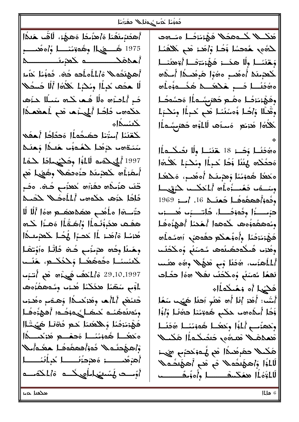| فُوزُمًا عَلَى اللَّهِ مِنْهَا عَلَيْهِ مَنْهَا مَعْ أَسْتَرَبَّهِ مِنْهَا مَنْهَا مَنْهَا مَنْهَا م |                                                                                                      |
|------------------------------------------------------------------------------------------------------|------------------------------------------------------------------------------------------------------|
| أَهْدَبَنِفَمَا هَ/هزَنكا هَهِجْ، لَاقَ هَذَا                                                        |                                                                                                      |
| 1975 هُـــــهُـــا وهُــوننـــــا وُ/ەهُـــــــو                                                     | لحَدَّهِ هُءَهَسًا ؤُهُـا وْٱهُدْ هُم لَكَفَـُـا                                                     |
|                                                                                                      | وَحْنَسُــا ولَا هكَــز فَهُزِيّزفَــا أَوْهِنْــا                                                   |
| أَهِجْنَحُهِ ۞ ٱلْمُلَامَلُومَ حُثَى. ضَوْمُا خَلَامَا                                               | لَكَعْبُنَّكُمْ أُدْهَبٍ دَوْدٍ الْمَرْهُدِيْهِ أَسْلَاهِ                                            |
| لَا حجَم حَبّاً! ومُحْبَط كَلاّهُ! أَلَا حُسحُلًا                                                    | ەھۇئىسا ئىس ھىلگىىك ھۇسىۋەلمە                                                                        |
| ضَرِ ٱلْمَدْرَةِ وَلَا قُتِمَا كَلَاهِ مَنْظًا حَذَهَا                                               |                                                                                                      |
| الْمَعْقَدَ أَمْ الْمَحْمَدِينَ مِنْ الْمَعْدَدَ الْمَعْدَدَةِ مِنْ الْمَعْدَدَةِ مِنْ مَنْ مَنْ مَ  | وقْتُلَا وَٱصَلَا وَْمَنْتَشَا هُمْ كُمْرَاْلِ وَتَكْبَرُا                                           |
| <b>كَلْسُدُاْ∻</b>                                                                                   | لْحَدُّهُ   هُنْتُمْ ۚ هُسْلُمْ لَٰالَٰٓؤُو خُصْرَمِيْنَـهِ اَٰ                                      |
| لَحْقَنَا إِسْتَمَا حَصَحْماً! هَحَدَاحًا أَحْقَلا                                                   |                                                                                                      |
| مَمْتَةِهَا جَرِّهُا لِحَقَّدَوْنَا لِعَمْلاً وَلِعَلَيْهِ                                           | ەھُكَسُّا وُكُـــز 18 حَلَّسُّــا وِلَّا ىصُـكْـــەــ <i>اْ</i> ا                                    |
| 1997 أَيُّيكُمُو لَالمُؤَا وِحَكَيْمَاهَا كَـهُ£                                                     | هَحثَكَتْ لِمُثَلَّ وَحُلَّ كَبِيْلًا وِمُحْبَطِ لَكُلُّهُا                                          |
| أَىعَنَّاه كَعْبَىنَدْ حَنَّەدْهَلا وِهُهُما هُم                                                     | ەكھُل ھُەزىُىُل وَهرَّىنَىْ لُهُ مُحبِ، مَحْھُل                                                      |
| خَفَّ هَنْدُاه حَفَزْآه لُحَجَّنِي حُــٰهَ. وَضَرِ                                                   | وسَـــةَما صَـقَـــ;ُه $\int$ الاحْكَــــه لِكَبَقِيَـــا                                            |
| ثَاثُا حَزَها حَكَمُوما ٱلْمُأْوَضُلا حَضْبِهِ                                                       | وِثَدوْأَقِعِمُدَهُـــا صَعَنَـــا 16. {مِــزِ 1969                                                  |
| حَتَّىـــــوَّا مأهُــــــم معمَّــــم معهُمْ أَلَّا لَل                                             | دَ ِمِسْدًا وِثَدَوْثَــْـا، ثَاتَــــرِّمْ هُـــــزْم                                               |
| هفَـمَا هَذَٰذُوۡفُـمَاۤا وُٱهۡـقُاۤا هَمَـٰٓا ـكَـه                                                 | وِنُوهِفُووْوها الْمُحَمَّا أَهْجَدُا وَالْمُحَمَّاتِ وَالْمَحَمَّةِ وَالْمَحَادِثَةِ وَالْمَحَمَّةِ |
| هُذِبًا وَٱهۡدَ ۚ أَا يَحۡدُۚ الۡ هَٰدَا يَحۡمَىٰنِنَا ا                                             | فَهْبْنَرْضُا وِأُهزَّهكُمْ حَقَّەعْبُ ۚ ٱهشَّاھَ                                                    |
| وهَىنُا وِدُه هزَمَنَ دُتْهَ مَاتْلَ دَاوَتِهَا                                                      | وهُدَت قَتْدُدْهُمْتُوهَا شَدْمَتُهِ وُدَخْدَتُت                                                     |
| ݣْسُسُـا ەڭەھْھُـا ۆڭگڭــــو، ھَئـــت                                                                | ٱلْمَلَاعِنَى، ۞هَٰلا وَمِ تَعَهُّلا وِ۞ه هلُـم                                                      |
| 29.10.1997 ةُ،لْكُفُ فَيْءُ۞ هُمْ أُتَّبُّ                                                           | ئَعْمًا نُمْنَبُ وُمِكْتُبًا نَفَى اللَّهُ وَمَا حَقَـات                                             |
| لمؤب مَتَعَمُلُ هَدَهُمَا هُدَا وَسُمَعَهُوَ وَهُوَ وَسَلَّمَهُ                                      | كَحْيُهَا أَه وَهُنَدْهَاْ!»                                                                         |
| حْسُبْهِ ٱلْمُلَّمِ وِهُبْكِيـدًا وَهِـتَمْ وَهُـ;ت                                                  | أَشَٰ، أَهَٰذ إِنَّا أَه هَنُو آحنًا هَيَّب سَمَّا                                                   |
| وئەللەشقا بەلگەن ئىشكى ئەيدە ئەيدا                                                                   | َوۡحُا ٱمکۡہ∞؎ حکم ھُەوۡسُدَا حمۡصُل وُٖٱوَۡا                                                        |
| فَهْنِتْرَضُا وَلِلْلَاهَنَا لَدم دُةِنَا هَيْشَاا                                                   | وكعمأت ألمؤا وكعكل هُوننُا هُفَنَا                                                                   |
| ەكھُـــا ھُەزىُـُـــا ەَحقــــع هُزىُـحـــــھُا                                                      | همده الله هلسه المستحدين المتحفيلا                                                                   |
| وۡ/َهوَٰحنُـه۞ ثَـهوۡٱوۡهِهَٰمَعَـٰهِ ۖ مَعۡـٰهُ ٱمۡ﴾ ۖ                                              | مَكْتَلًا حَقَّرْهُنَدًّا مَّعَ هُءَنَدَيْبِ ۞                                                       |
| أَهْبَهُمــــــــــز هُهْزَمَٰزُنُـــــــــا كَبِـالْنُـــــــــا                                    | لَّالمُوْا وَٱههُنفُوها في قَمِي ٱههُنفُوها                                                          |
| أَوُّـــد مُشَيْعَها مِلْكِ هُمَا كَدَّمَـــد                                                        | لَالمَوْدُاَ الْمَكْسُفْــــــا وِأُوفُكَــــــب                                                     |
| حكفنا حرم                                                                                            | $ L $ ها $ G $                                                                                       |